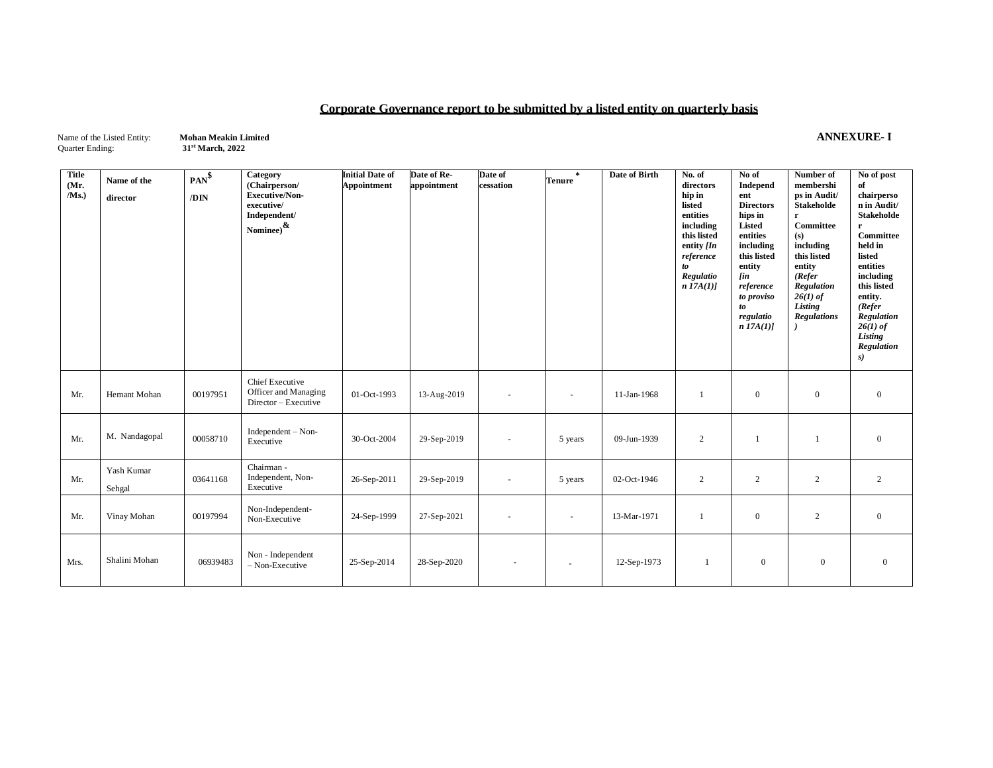# **Corporate Governance report to be submitted by a listed entity on quarterly basis**

Name of the Listed Entity: **Mohan Meakin Limited ANNEXURE- I**<br>Quarter Ending: 31<sup>st</sup> March, 2022

**st March, 2022**

| <b>Title</b><br>(Mr.<br>/Ms. | Name of the<br>director | $PAN^{\$}$<br>/DIN | Category<br>(Chairperson/<br><b>Executive/Non-</b><br>executive/<br>Independent/<br>Nominee) $\frac{\&}{}$ | <b>Initial Date of</b><br>Appointment | Date of Re-<br>appointment | Date of<br>cessation | $\star$<br>Tenure | Date of Birth | No. of<br>directors<br>hip in<br>listed<br>entities<br>including<br>this listed<br>entity $[In]$<br>reference<br>to<br>Regulatio<br>n I7A(I) | No of<br>Independ<br>ent<br><b>Directors</b><br>hips in<br>Listed<br>entities<br>including<br>this listed<br>entity<br><b>fin</b><br>reference<br>to proviso<br>to<br>regulatio<br>$n$ 17A(1)] | Number of<br>membershi<br>ps in Audit/<br><b>Stakeholde</b><br>r<br>Committee<br>(s)<br>including<br>this listed<br>entity<br>(Refer)<br>Regulation<br>$26(1)$ of<br>Listing<br><b>Regulations</b> | No of post<br>of<br>chairperso<br>n in Audit/<br><b>Stakeholde</b><br>r<br>Committee<br>held in<br>listed<br>entities<br>including<br>this listed<br>entity.<br>(Refer)<br>Regulation<br>$26(1)$ of<br>Listing<br>Regulation<br>s) |
|------------------------------|-------------------------|--------------------|------------------------------------------------------------------------------------------------------------|---------------------------------------|----------------------------|----------------------|-------------------|---------------|----------------------------------------------------------------------------------------------------------------------------------------------|------------------------------------------------------------------------------------------------------------------------------------------------------------------------------------------------|----------------------------------------------------------------------------------------------------------------------------------------------------------------------------------------------------|------------------------------------------------------------------------------------------------------------------------------------------------------------------------------------------------------------------------------------|
| Mr.                          | Hemant Mohan            | 00197951           | Chief Executive<br>Officer and Managing<br>Director - Executive                                            | 01-Oct-1993                           | 13-Aug-2019                | $\sim$               | $\sim$            | 11-Jan-1968   |                                                                                                                                              | $\overline{0}$                                                                                                                                                                                 | $\boldsymbol{0}$                                                                                                                                                                                   | $\overline{0}$                                                                                                                                                                                                                     |
| Mr.                          | M. Nandagopal           | 00058710           | $Independent - Non-$<br>Executive                                                                          | 30-Oct-2004                           | 29-Sep-2019                | $\sim$               | 5 years           | 09-Jun-1939   | 2                                                                                                                                            | 1                                                                                                                                                                                              | $\mathbf{1}$                                                                                                                                                                                       | $\mathbf{0}$                                                                                                                                                                                                                       |
| Mr.                          | Yash Kumar<br>Sehgal    | 03641168           | Chairman -<br>Independent, Non-<br>Executive                                                               | 26-Sep-2011                           | 29-Sep-2019                | $\sim$               | 5 years           | 02-Oct-1946   | 2                                                                                                                                            | 2                                                                                                                                                                                              | 2                                                                                                                                                                                                  | 2                                                                                                                                                                                                                                  |
| Mr.                          | Vinay Mohan             | 00197994           | Non-Independent-<br>Non-Executive                                                                          | 24-Sep-1999                           | 27-Sep-2021                | $\sim$               | $\sim$            | 13-Mar-1971   |                                                                                                                                              | $\overline{0}$                                                                                                                                                                                 | 2                                                                                                                                                                                                  | $\overline{0}$                                                                                                                                                                                                                     |
| Mrs.                         | Shalini Mohan           | 06939483           | Non - Independent<br>$-$ Non-Executive                                                                     | 25-Sep-2014                           | 28-Sep-2020                |                      |                   | 12-Sep-1973   |                                                                                                                                              | $\overline{0}$                                                                                                                                                                                 | $\overline{0}$                                                                                                                                                                                     | $\mathbf{0}$                                                                                                                                                                                                                       |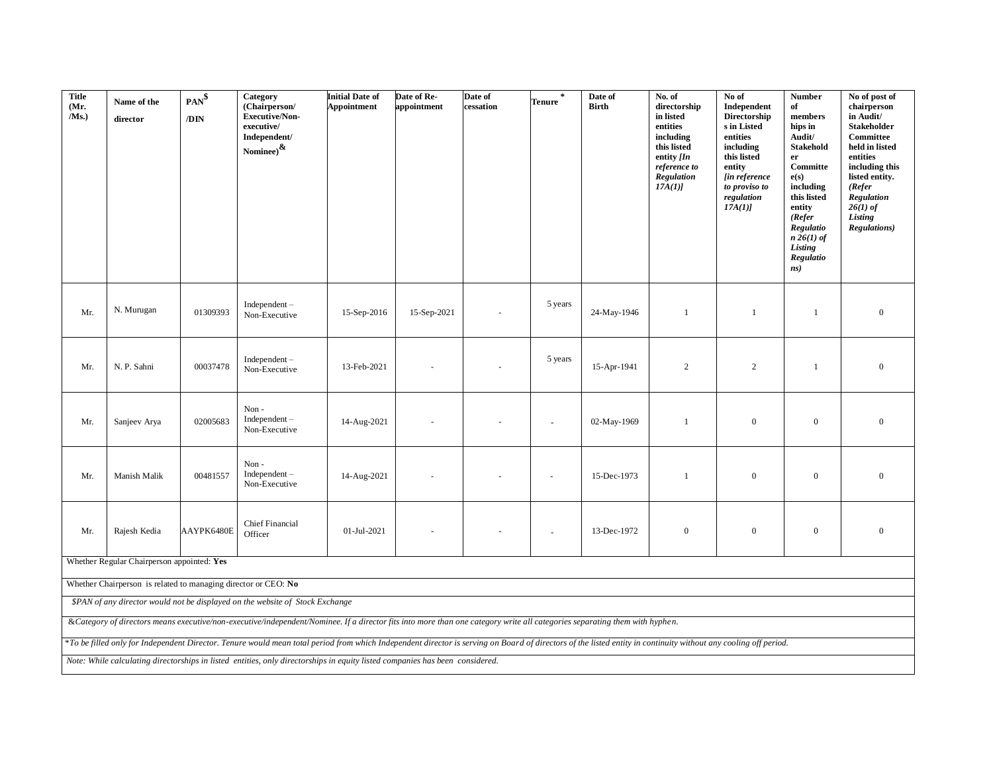| <b>Title</b><br>(Mr.<br>$/Ms$ .) | Name of the<br>director                                                                                                                                                                                                                                      | $PAN^{\$}$<br>/DIN | Category<br>(Chairperson/<br><b>Executive/Non-</b><br>executive/<br>Independent/<br>$\text{Nominee)}^{\text{\textcircled{k}}}$                                                                                  | <b>Initial Date of</b><br><b>Appointment</b> | Date of Re-<br>appointment | Date of<br>cessation | Tenure <sup>*</sup> | Date of<br><b>Birth</b> | No. of<br>directorship<br>in listed<br>entities<br>including<br>this listed<br>entity $[In]$<br>reference to<br>Regulation<br>17A(1) | No of<br>Independent<br>Directorship<br>s in Listed<br>entities<br>including<br>this listed<br>entity<br>[in reference<br>to proviso to<br>regulation<br>17A(1) | <b>Number</b><br>of<br>members<br>hips in<br>Audit/<br><b>Stakehold</b><br>er<br>Committe<br>e(s)<br>including<br>this listed<br>entity<br>(Refer)<br>Regulatio<br>$n 26(1)$ of<br>Listing<br>Regulatio<br>ns) | No of post of<br>chairperson<br>in Audit/<br><b>Stakeholder</b><br>Committee<br>held in listed<br>entities<br>including this<br>listed entity.<br>(Refer)<br>Regulation<br>$26(1)$ of<br>Listing<br><b>Regulations</b> ) |
|----------------------------------|--------------------------------------------------------------------------------------------------------------------------------------------------------------------------------------------------------------------------------------------------------------|--------------------|-----------------------------------------------------------------------------------------------------------------------------------------------------------------------------------------------------------------|----------------------------------------------|----------------------------|----------------------|---------------------|-------------------------|--------------------------------------------------------------------------------------------------------------------------------------|-----------------------------------------------------------------------------------------------------------------------------------------------------------------|----------------------------------------------------------------------------------------------------------------------------------------------------------------------------------------------------------------|--------------------------------------------------------------------------------------------------------------------------------------------------------------------------------------------------------------------------|
| Mr.                              | N. Murugan                                                                                                                                                                                                                                                   | 01309393           | $Independent -$<br>Non-Executive                                                                                                                                                                                | 15-Sep-2016                                  | 15-Sep-2021                |                      | 5 years             | 24-May-1946             | -1                                                                                                                                   | 1                                                                                                                                                               | 1                                                                                                                                                                                                              | $\overline{0}$                                                                                                                                                                                                           |
| Mr.                              | N. P. Sahni                                                                                                                                                                                                                                                  | 00037478           | $Independent -$<br>Non-Executive                                                                                                                                                                                | 13-Feb-2021                                  |                            |                      | 5 years             | 15-Apr-1941             | 2                                                                                                                                    | $\overline{c}$                                                                                                                                                  | 1                                                                                                                                                                                                              | $\mathbf{0}$                                                                                                                                                                                                             |
| Mr.                              | Sanjeev Arya                                                                                                                                                                                                                                                 | 02005683           | Non-<br>$Independent -$<br>Non-Executive                                                                                                                                                                        | 14-Aug-2021                                  |                            |                      |                     | 02-May-1969             | -1                                                                                                                                   | $\boldsymbol{0}$                                                                                                                                                | $\mathbf{0}$                                                                                                                                                                                                   | $\boldsymbol{0}$                                                                                                                                                                                                         |
| Mr.                              | Manish Malik                                                                                                                                                                                                                                                 | 00481557           | Non-<br>$Independent -$<br>Non-Executive                                                                                                                                                                        | 14-Aug-2021                                  |                            |                      |                     | 15-Dec-1973             | $\overline{1}$                                                                                                                       | $\boldsymbol{0}$                                                                                                                                                | $\overline{0}$                                                                                                                                                                                                 | $\mathbf{0}$                                                                                                                                                                                                             |
| Mr.                              | Rajesh Kedia                                                                                                                                                                                                                                                 | AAYPK6480E         | <b>Chief Financial</b><br>Officer                                                                                                                                                                               | 01-Jul-2021                                  |                            |                      |                     | 13-Dec-1972             | $\mathbf{0}$                                                                                                                         | $\mathbf{0}$                                                                                                                                                    | $\mathbf{0}$                                                                                                                                                                                                   | $\overline{0}$                                                                                                                                                                                                           |
|                                  | Whether Regular Chairperson appointed: Yes                                                                                                                                                                                                                   |                    |                                                                                                                                                                                                                 |                                              |                            |                      |                     |                         |                                                                                                                                      |                                                                                                                                                                 |                                                                                                                                                                                                                |                                                                                                                                                                                                                          |
|                                  | Whether Chairperson is related to managing director or CEO: No                                                                                                                                                                                               |                    |                                                                                                                                                                                                                 |                                              |                            |                      |                     |                         |                                                                                                                                      |                                                                                                                                                                 |                                                                                                                                                                                                                |                                                                                                                                                                                                                          |
|                                  | \$PAN of any director would not be displayed on the website of Stock Exchange<br>& Category of directors means executive/non-executive/independent/Nominee. If a director fits into more than one category write all categories separating them with hyphen. |                    |                                                                                                                                                                                                                 |                                              |                            |                      |                     |                         |                                                                                                                                      |                                                                                                                                                                 |                                                                                                                                                                                                                |                                                                                                                                                                                                                          |
|                                  |                                                                                                                                                                                                                                                              |                    |                                                                                                                                                                                                                 |                                              |                            |                      |                     |                         |                                                                                                                                      |                                                                                                                                                                 |                                                                                                                                                                                                                |                                                                                                                                                                                                                          |
|                                  |                                                                                                                                                                                                                                                              |                    | *To be filled only for Independent Director. Tenure would mean total period from which Independent director is serving on Board of directors of the listed entity in continuity without any cooling off period. |                                              |                            |                      |                     |                         |                                                                                                                                      |                                                                                                                                                                 |                                                                                                                                                                                                                |                                                                                                                                                                                                                          |
|                                  | Note: While calculating directorships in listed entities, only directorships in equity listed companies has been considered.                                                                                                                                 |                    |                                                                                                                                                                                                                 |                                              |                            |                      |                     |                         |                                                                                                                                      |                                                                                                                                                                 |                                                                                                                                                                                                                |                                                                                                                                                                                                                          |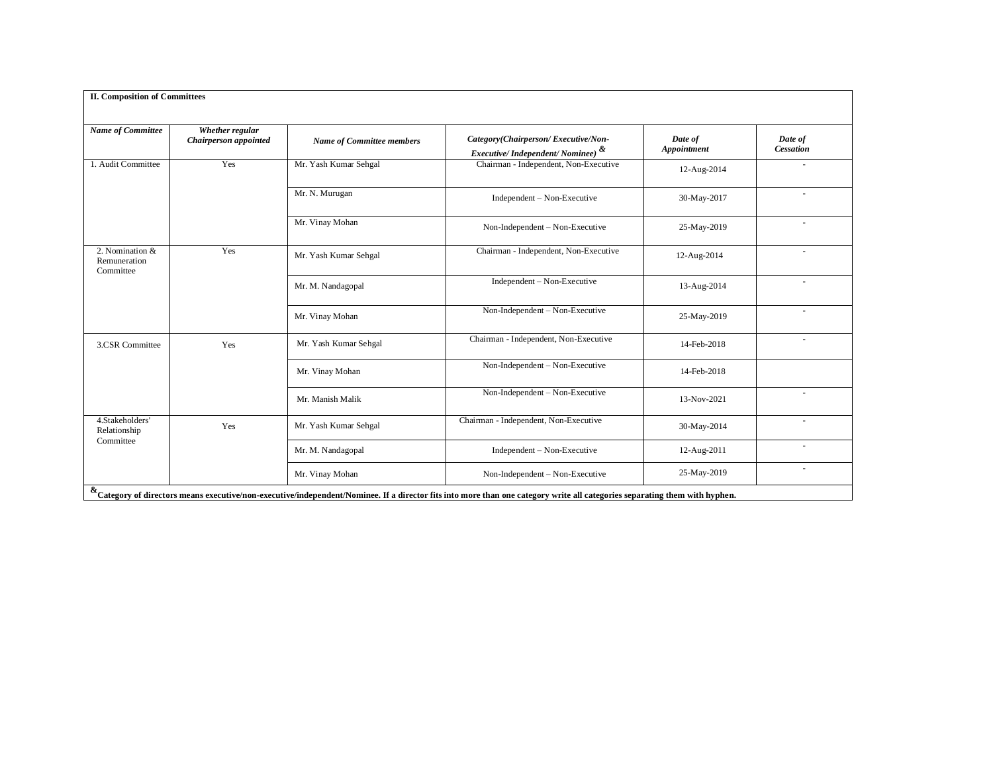| <b>II. Composition of Committees</b>         |                                          |                                  |                                                                                                                                                                             |                        |                             |
|----------------------------------------------|------------------------------------------|----------------------------------|-----------------------------------------------------------------------------------------------------------------------------------------------------------------------------|------------------------|-----------------------------|
| <b>Name of Committee</b>                     | Whether regular<br>Chairperson appointed | <b>Name of Committee members</b> | Category(Chairperson/Executive/Non-<br><i>Executive/Independent/Nominee)</i> &                                                                                              | Date of<br>Appointment | Date of<br><b>Cessation</b> |
| 1. Audit Committee                           | Yes                                      | Mr. Yash Kumar Sehgal            | Chairman - Independent, Non-Executive                                                                                                                                       | 12-Aug-2014            |                             |
|                                              |                                          | Mr. N. Murugan                   | $Independent - Non-Execute$                                                                                                                                                 | 30-May-2017            | $\sim$                      |
|                                              |                                          | Mr. Vinay Mohan                  | Non-Independent - Non-Executive                                                                                                                                             | 25-May-2019            |                             |
| 2. Nomination &<br>Remuneration<br>Committee | Yes                                      | Mr. Yash Kumar Sehgal            | Chairman - Independent, Non-Executive                                                                                                                                       | 12-Aug-2014            | ÷.                          |
|                                              |                                          | Mr. M. Nandagopal                | $Independent - Non-Execute$                                                                                                                                                 | 13-Aug-2014            | $\sim$                      |
|                                              |                                          | Mr. Vinay Mohan                  | Non-Independent - Non-Executive                                                                                                                                             | 25-May-2019            | $\sim$                      |
| 3.CSR Committee                              | Yes                                      | Mr. Yash Kumar Sehgal            | Chairman - Independent, Non-Executive                                                                                                                                       | 14-Feb-2018            | $\sim$                      |
|                                              |                                          | Mr. Vinay Mohan                  | Non-Independent - Non-Executive                                                                                                                                             | 14-Feb-2018            |                             |
|                                              |                                          | Mr. Manish Malik                 | Non-Independent - Non-Executive                                                                                                                                             | 13-Nov-2021            | $\sim$                      |
| 4.Stakeholders'<br>Relationship<br>Committee | Yes                                      | Mr. Yash Kumar Sehgal            | Chairman - Independent, Non-Executive                                                                                                                                       | 30-May-2014            | $\sim$                      |
|                                              |                                          | Mr. M. Nandagopal                | Independent - Non-Executive                                                                                                                                                 | 12-Aug-2011            |                             |
|                                              |                                          | Mr. Vinay Mohan                  | Non-Independent - Non-Executive                                                                                                                                             | 25-May-2019            | $\overline{\phantom{a}}$    |
|                                              |                                          |                                  | & Category of directors means executive/non-executive/independent/Nominee. If a director fits into more than one category write all categories separating them with hyphen. |                        |                             |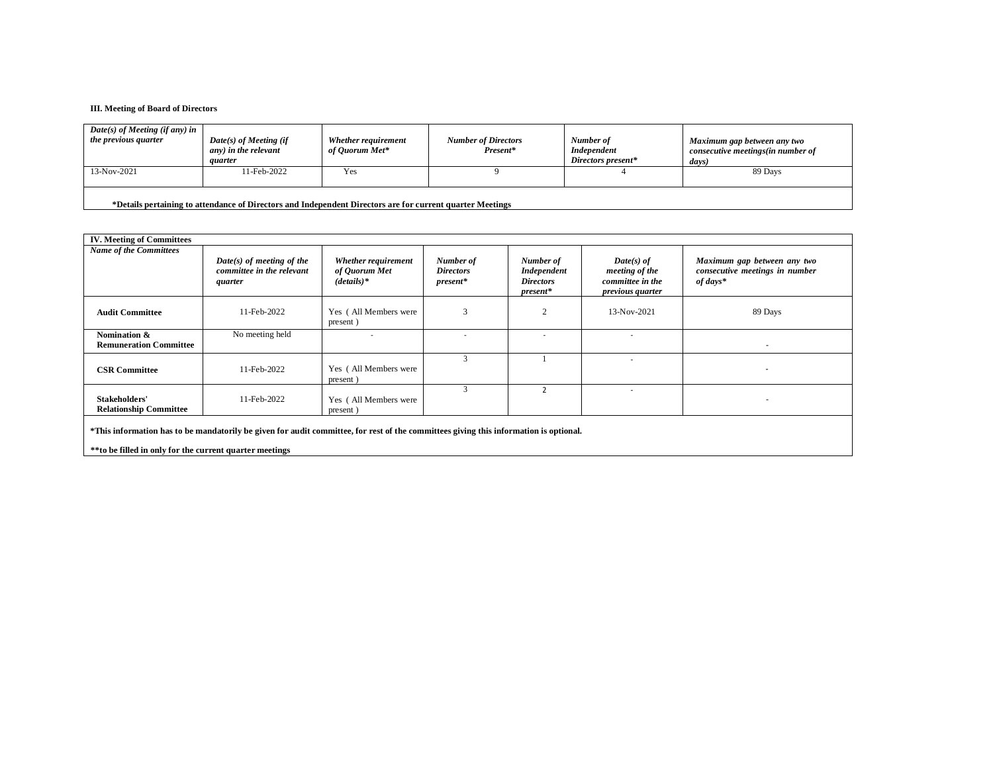#### **III. Meeting of Board of Directors**

| $Date(s)$ of Meeting (if any) in<br>the previous quarter | $Date(s)$ of Meeting (if<br>any) in the relevant<br><i>auarter</i> | Whether requirement<br>of Ouorum Met* | <b>Number of Directors</b><br>Present* | Number of<br>Independent<br>Directors present* | Maximum gap between any two<br>consecutive meetings(in number of<br>days) |
|----------------------------------------------------------|--------------------------------------------------------------------|---------------------------------------|----------------------------------------|------------------------------------------------|---------------------------------------------------------------------------|
| 13-Nov-2021                                              | 11-Feb-2022                                                        | Yes                                   |                                        |                                                | 89 Days                                                                   |

**\*Details pertaining to attendance of Directors and Independent Directors are for current quarter Meetings**

| <b>IV. Meeting of Committees</b>                                                                                                      |                                                                     |                                                       |                                             |                                                            |                                                                               |                                                                             |
|---------------------------------------------------------------------------------------------------------------------------------------|---------------------------------------------------------------------|-------------------------------------------------------|---------------------------------------------|------------------------------------------------------------|-------------------------------------------------------------------------------|-----------------------------------------------------------------------------|
| <b>Name of the Committees</b>                                                                                                         | $Date(s)$ of meeting of the<br>committee in the relevant<br>quarter | Whether requirement<br>of Quorum Met<br>$(details)^*$ | Number of<br><b>Directors</b><br>$present*$ | Number of<br>Independent<br><b>Directors</b><br>$present*$ | $Date(s)$ of<br>meeting of the<br>committee in the<br><i>previous quarter</i> | Maximum gap between any two<br>consecutive meetings in number<br>$of days*$ |
| <b>Audit Committee</b>                                                                                                                | 11-Feb-2022                                                         | Yes (All Members were<br>present)                     | $\mathbf{\hat{z}}$                          | $\mathcal{L}$                                              | 13-Nov-2021                                                                   | 89 Days                                                                     |
| Nomination &<br><b>Remuneration Committee</b>                                                                                         | No meeting held                                                     |                                                       |                                             |                                                            |                                                                               | $\overline{\phantom{a}}$                                                    |
| <b>CSR Committee</b>                                                                                                                  | 11-Feb-2022                                                         | Yes (All Members were<br>present)                     |                                             |                                                            |                                                                               | $\overline{\phantom{a}}$                                                    |
| Stakeholders'<br><b>Relationship Committee</b>                                                                                        | 11-Feb-2022                                                         | Yes (All Members were<br>present)                     |                                             |                                                            |                                                                               |                                                                             |
| *This information has to be mandatorily be given for audit committee, for rest of the committees giving this information is optional. |                                                                     |                                                       |                                             |                                                            |                                                                               |                                                                             |

**\*\*to be filled in only for the current quarter meetings**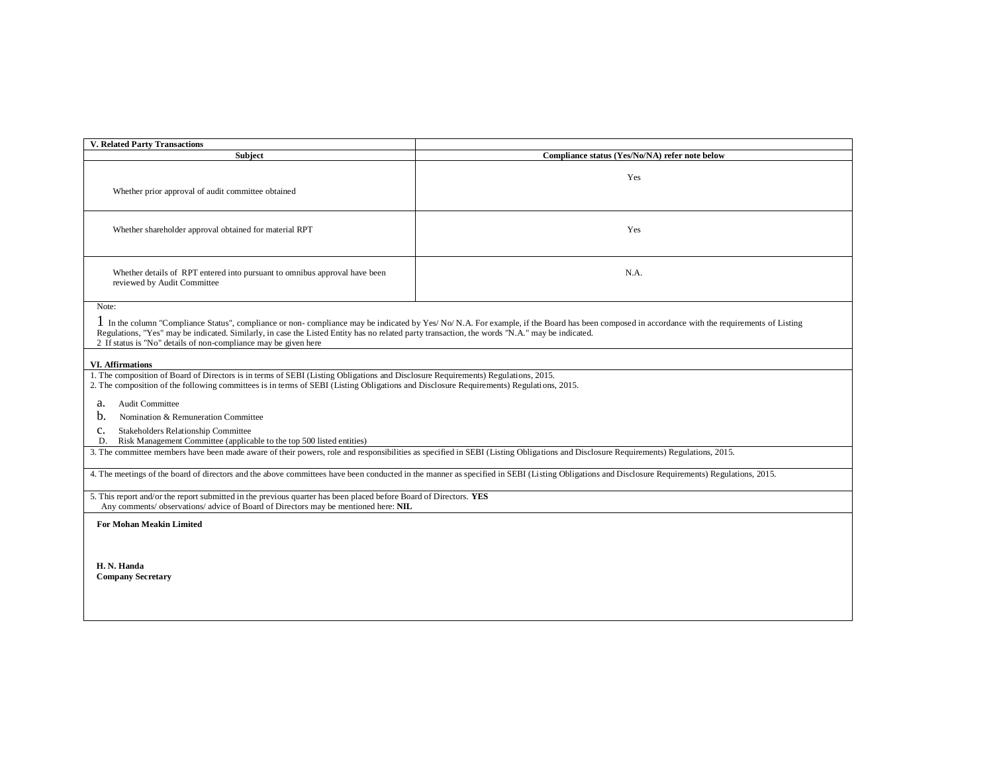| <b>V. Related Party Transactions</b>                                                                                                                                                                                                                                                                                                                                                                                                                                                                             |                                                                                                                                                                                                |  |  |  |  |
|------------------------------------------------------------------------------------------------------------------------------------------------------------------------------------------------------------------------------------------------------------------------------------------------------------------------------------------------------------------------------------------------------------------------------------------------------------------------------------------------------------------|------------------------------------------------------------------------------------------------------------------------------------------------------------------------------------------------|--|--|--|--|
| <b>Subject</b>                                                                                                                                                                                                                                                                                                                                                                                                                                                                                                   | Compliance status (Yes/No/NA) refer note below                                                                                                                                                 |  |  |  |  |
| Whether prior approval of audit committee obtained                                                                                                                                                                                                                                                                                                                                                                                                                                                               | Yes                                                                                                                                                                                            |  |  |  |  |
| Whether shareholder approval obtained for material RPT                                                                                                                                                                                                                                                                                                                                                                                                                                                           | Yes                                                                                                                                                                                            |  |  |  |  |
| Whether details of RPT entered into pursuant to omnibus approval have been<br>N.A.<br>reviewed by Audit Committee                                                                                                                                                                                                                                                                                                                                                                                                |                                                                                                                                                                                                |  |  |  |  |
| Note:<br>I In the column "Compliance Status", compliance or non-compliance may be indicated by Yes/No/N.A. For example, if the Board has been composed in accordance with the requirements of Listing<br>Regulations, "Yes" may be indicated. Similarly, in case the Listed Entity has no related party transaction, the words "N.A." may be indicated.<br>2 If status is "No" details of non-compliance may be given here                                                                                       |                                                                                                                                                                                                |  |  |  |  |
|                                                                                                                                                                                                                                                                                                                                                                                                                                                                                                                  |                                                                                                                                                                                                |  |  |  |  |
| <b>VI. Affirmations</b><br>1. The composition of Board of Directors is in terms of SEBI (Listing Obligations and Disclosure Requirements) Regulations, 2015.<br>2. The composition of the following committees is in terms of SEBI (Listing Obligations and Disclosure Requirements) Regulations, 2015.<br><b>Audit Committee</b><br>a.<br>b.<br>Nomination & Remuneration Committee<br>Stakeholders Relationship Committee<br>c.<br>Risk Management Committee (applicable to the top 500 listed entities)<br>D. |                                                                                                                                                                                                |  |  |  |  |
| 3. The committee members have been made aware of their powers, role and responsibilities as specified in SEBI (Listing Obligations and Disclosure Requirements) Regulations, 2015.                                                                                                                                                                                                                                                                                                                               |                                                                                                                                                                                                |  |  |  |  |
|                                                                                                                                                                                                                                                                                                                                                                                                                                                                                                                  | 4. The meetings of the board of directors and the above committees have been conducted in the manner as specified in SEBI (Listing Obligations and Disclosure Requirements) Regulations, 2015. |  |  |  |  |
| 5. This report and/or the report submitted in the previous quarter has been placed before Board of Directors. YES<br>Any comments/ observations/ advice of Board of Directors may be mentioned here: NIL                                                                                                                                                                                                                                                                                                         |                                                                                                                                                                                                |  |  |  |  |
| <b>For Mohan Meakin Limited</b><br>H. N. Handa<br><b>Company Secretary</b>                                                                                                                                                                                                                                                                                                                                                                                                                                       |                                                                                                                                                                                                |  |  |  |  |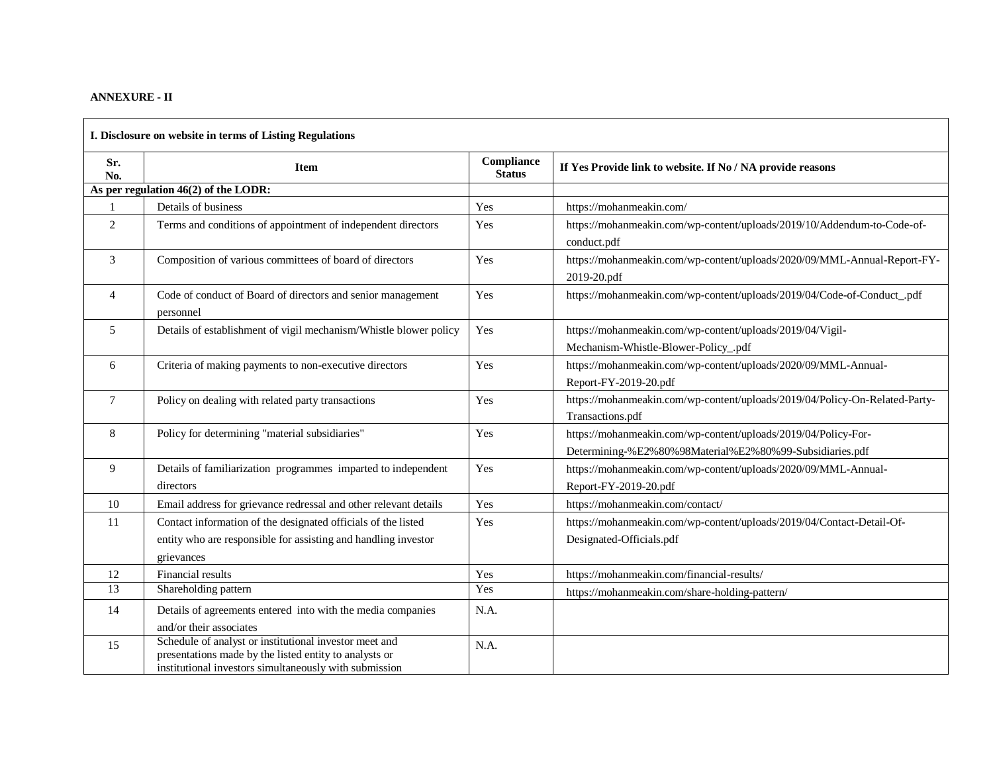## **ANNEXURE - II**

| I. Disclosure on website in terms of Listing Regulations |                                                                                                                                                                            |                             |                                                                                                                           |  |  |  |  |
|----------------------------------------------------------|----------------------------------------------------------------------------------------------------------------------------------------------------------------------------|-----------------------------|---------------------------------------------------------------------------------------------------------------------------|--|--|--|--|
| Sr.<br>No.                                               | <b>Item</b>                                                                                                                                                                | Compliance<br><b>Status</b> | If Yes Provide link to website. If No / NA provide reasons                                                                |  |  |  |  |
|                                                          | As per regulation $46(2)$ of the LODR:                                                                                                                                     |                             |                                                                                                                           |  |  |  |  |
|                                                          | Details of business                                                                                                                                                        | Yes                         | https://mohanmeakin.com/                                                                                                  |  |  |  |  |
| $\overline{2}$                                           | Terms and conditions of appointment of independent directors                                                                                                               | Yes                         | https://mohanmeakin.com/wp-content/uploads/2019/10/Addendum-to-Code-of-<br>conduct.pdf                                    |  |  |  |  |
| 3                                                        | Composition of various committees of board of directors                                                                                                                    | Yes                         | https://mohanmeakin.com/wp-content/uploads/2020/09/MML-Annual-Report-FY-<br>2019-20.pdf                                   |  |  |  |  |
| $\overline{\mathcal{A}}$                                 | Code of conduct of Board of directors and senior management<br>personnel                                                                                                   | Yes                         | https://mohanmeakin.com/wp-content/uploads/2019/04/Code-of-Conduct_.pdf                                                   |  |  |  |  |
| 5                                                        | Details of establishment of vigil mechanism/Whistle blower policy                                                                                                          | Yes                         | https://mohanmeakin.com/wp-content/uploads/2019/04/Vigil-<br>Mechanism-Whistle-Blower-Policy_.pdf                         |  |  |  |  |
| 6                                                        | Criteria of making payments to non-executive directors                                                                                                                     | Yes                         | https://mohanmeakin.com/wp-content/uploads/2020/09/MML-Annual-<br>Report-FY-2019-20.pdf                                   |  |  |  |  |
| $\tau$                                                   | Policy on dealing with related party transactions                                                                                                                          | Yes                         | https://mohanmeakin.com/wp-content/uploads/2019/04/Policy-On-Related-Party-<br>Transactions.pdf                           |  |  |  |  |
| 8                                                        | Policy for determining "material subsidiaries"                                                                                                                             | Yes                         | https://mohanmeakin.com/wp-content/uploads/2019/04/Policy-For-<br>Determining-%E2%80%98Material%E2%80%99-Subsidiaries.pdf |  |  |  |  |
| 9                                                        | Details of familiarization programmes imparted to independent<br>directors                                                                                                 | Yes                         | https://mohanmeakin.com/wp-content/uploads/2020/09/MML-Annual-<br>Report-FY-2019-20.pdf                                   |  |  |  |  |
| 10                                                       | Email address for grievance redressal and other relevant details                                                                                                           | Yes                         | https://mohanmeakin.com/contact/                                                                                          |  |  |  |  |
| 11                                                       | Contact information of the designated officials of the listed<br>entity who are responsible for assisting and handling investor<br>grievances                              | Yes                         | https://mohanmeakin.com/wp-content/uploads/2019/04/Contact-Detail-Of-<br>Designated-Officials.pdf                         |  |  |  |  |
| 12                                                       | <b>Financial results</b>                                                                                                                                                   | Yes                         | https://mohanmeakin.com/financial-results/                                                                                |  |  |  |  |
| 13                                                       | Shareholding pattern                                                                                                                                                       | Yes                         | https://mohanmeakin.com/share-holding-pattern/                                                                            |  |  |  |  |
| 14                                                       | Details of agreements entered into with the media companies<br>and/or their associates                                                                                     | N.A.                        |                                                                                                                           |  |  |  |  |
| 15                                                       | Schedule of analyst or institutional investor meet and<br>presentations made by the listed entity to analysts or<br>institutional investors simultaneously with submission | N.A.                        |                                                                                                                           |  |  |  |  |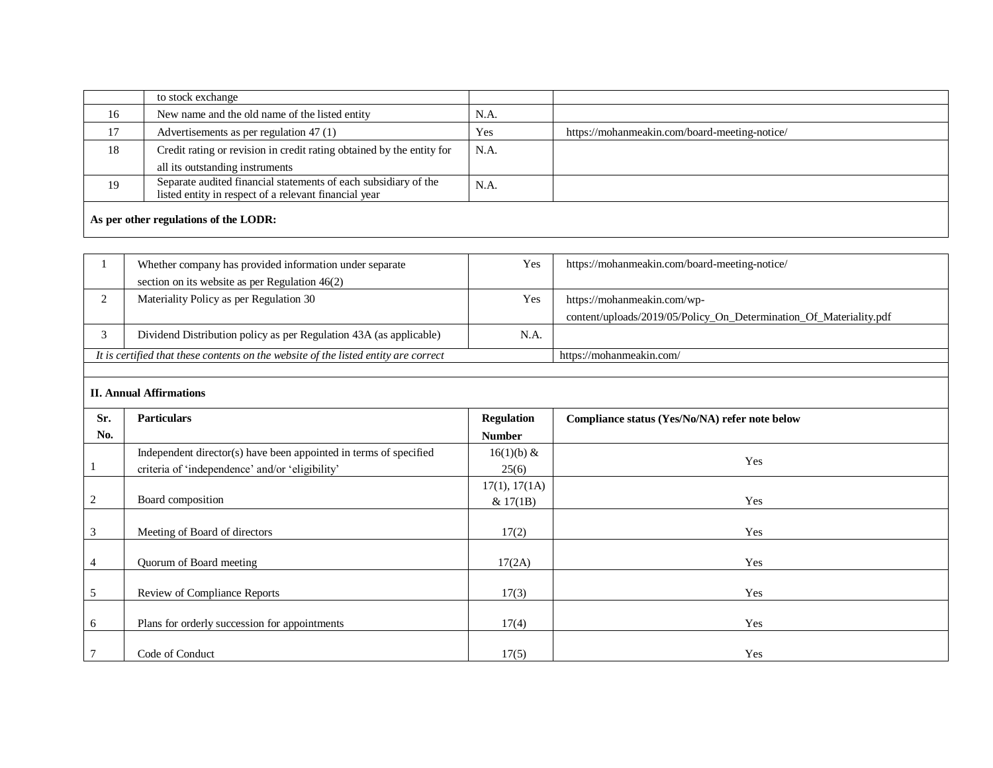|    | to stock exchange                                                                                                        |      |                                               |  |  |  |  |
|----|--------------------------------------------------------------------------------------------------------------------------|------|-----------------------------------------------|--|--|--|--|
| 16 | New name and the old name of the listed entity                                                                           | N.A. |                                               |  |  |  |  |
| 17 | Advertisements as per regulation $47(1)$                                                                                 | Yes  | https://mohanmeakin.com/board-meeting-notice/ |  |  |  |  |
| 18 | Credit rating or revision in credit rating obtained by the entity for                                                    | N.A. |                                               |  |  |  |  |
|    | all its outstanding instruments                                                                                          |      |                                               |  |  |  |  |
| 19 | Separate audited financial statements of each subsidiary of the<br>listed entity in respect of a relevant financial year | N.A. |                                               |  |  |  |  |
|    | As per other regulations of the LODR:                                                                                    |      |                                               |  |  |  |  |

| Whether company has provided information under separate                             | Yes  | https://mohanmeakin.com/board-meeting-notice/                      |
|-------------------------------------------------------------------------------------|------|--------------------------------------------------------------------|
| section on its website as per Regulation $46(2)$                                    |      |                                                                    |
| Materiality Policy as per Regulation 30                                             | Yes  | https://mohanmeakin.com/wp-                                        |
|                                                                                     |      | content/uploads/2019/05/Policy_On_Determination_Of_Materiality.pdf |
| Dividend Distribution policy as per Regulation 43A (as applicable)                  | N.A. |                                                                    |
| It is certified that these contents on the website of the listed entity are correct |      | https://mohanmeakin.com/                                           |
|                                                                                     |      |                                                                    |

# **II. Annual Affirmations**

| Sr.    | <b>Particulars</b>                                                | <b>Regulation</b> | Compliance status (Yes/No/NA) refer note below |
|--------|-------------------------------------------------------------------|-------------------|------------------------------------------------|
| No.    |                                                                   | <b>Number</b>     |                                                |
|        | Independent director(s) have been appointed in terms of specified | 16(1)(b) &        | Yes                                            |
|        | criteria of 'independence' and/or 'eligibility'                   | 25(6)             |                                                |
|        |                                                                   | 17(1), 17(1A)     |                                                |
| 2      | Board composition                                                 | & 17(1B)          | Yes                                            |
|        |                                                                   |                   |                                                |
| 3      | Meeting of Board of directors                                     | 17(2)             | Yes                                            |
| 4      | Quorum of Board meeting                                           | 17(2A)            | Yes                                            |
| 5      | <b>Review of Compliance Reports</b>                               | 17(3)             | Yes                                            |
|        |                                                                   |                   |                                                |
| 6      | Plans for orderly succession for appointments                     | 17(4)             | Yes                                            |
| $\tau$ | Code of Conduct                                                   | 17(5)             | Yes                                            |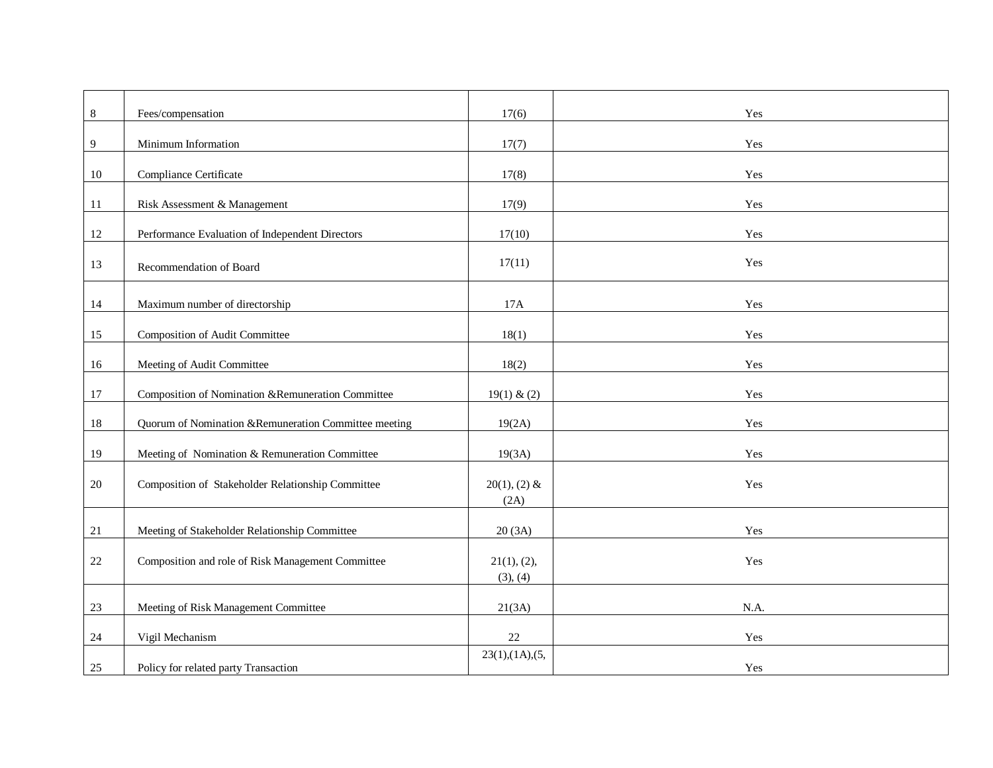| $8\,$  | Fees/compensation                                    | 17(6)                   | Yes  |
|--------|------------------------------------------------------|-------------------------|------|
| 9      | Minimum Information                                  | 17(7)                   | Yes  |
| 10     | Compliance Certificate                               | 17(8)                   | Yes  |
| 11     | Risk Assessment & Management                         | 17(9)                   | Yes  |
| 12     | Performance Evaluation of Independent Directors      | 17(10)                  | Yes  |
|        |                                                      |                         |      |
| 13     | Recommendation of Board                              | 17(11)                  | Yes  |
| 14     | Maximum number of directorship                       | 17A                     | Yes  |
| 15     | <b>Composition of Audit Committee</b>                | 18(1)                   | Yes  |
| 16     | Meeting of Audit Committee                           | 18(2)                   | Yes  |
|        |                                                      |                         |      |
| 17     | Composition of Nomination &Remuneration Committee    | 19(1) & (2)             | Yes  |
| 18     | Quorum of Nomination &Remuneration Committee meeting | 19(2A)                  | Yes  |
| 19     | Meeting of Nomination & Remuneration Committee       | 19(3A)                  | Yes  |
| $20\,$ | Composition of Stakeholder Relationship Committee    | $20(1), (2)$ &<br>(2A)  | Yes  |
| 21     | Meeting of Stakeholder Relationship Committee        | 20(3A)                  | Yes  |
| 22     | Composition and role of Risk Management Committee    | 21(1), (2),<br>(3), (4) | Yes  |
| 23     | Meeting of Risk Management Committee                 | 21(3A)                  | N.A. |
| 24     | Vigil Mechanism                                      | 22                      | Yes  |
| $25\,$ | Policy for related party Transaction                 | 23(1),(1A),(5,          | Yes  |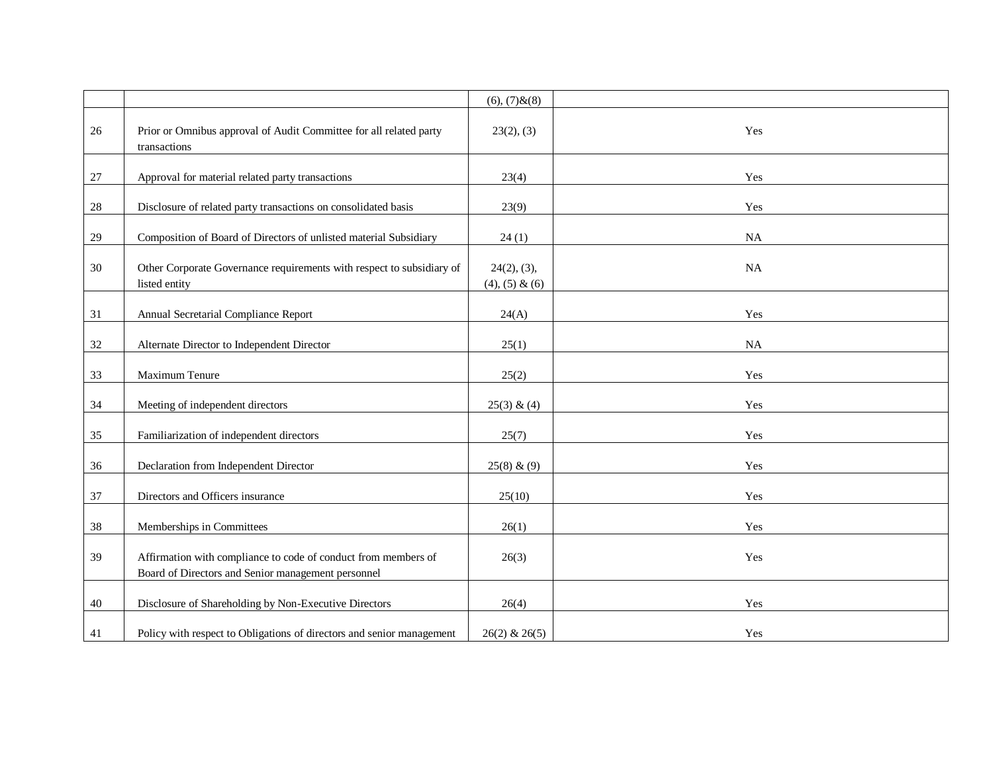|        |                                                                                                                      | $(6), (7)$ & $(8)$                   |           |
|--------|----------------------------------------------------------------------------------------------------------------------|--------------------------------------|-----------|
| 26     | Prior or Omnibus approval of Audit Committee for all related party<br>transactions                                   | 23(2), (3)                           | Yes       |
| $27\,$ | Approval for material related party transactions                                                                     | 23(4)                                | Yes       |
| $28\,$ | Disclosure of related party transactions on consolidated basis                                                       | 23(9)                                | Yes       |
| 29     | Composition of Board of Directors of unlisted material Subsidiary                                                    | 24(1)                                | NA        |
| 30     | Other Corporate Governance requirements with respect to subsidiary of<br>listed entity                               | 24(2), (3),<br>$(4)$ , $(5)$ & $(6)$ | <b>NA</b> |
| 31     | Annual Secretarial Compliance Report                                                                                 | 24(A)                                | Yes       |
| 32     | Alternate Director to Independent Director                                                                           | 25(1)                                | $\rm NA$  |
| 33     | Maximum Tenure                                                                                                       | 25(2)                                | Yes       |
| 34     | Meeting of independent directors                                                                                     | 25(3) & (4)                          | Yes       |
| 35     | Familiarization of independent directors                                                                             | 25(7)                                | Yes       |
| 36     | Declaration from Independent Director                                                                                | 25(8) & (9)                          | Yes       |
| 37     | Directors and Officers insurance                                                                                     | 25(10)                               | Yes       |
| 38     | Memberships in Committees                                                                                            | 26(1)                                | Yes       |
| 39     | Affirmation with compliance to code of conduct from members of<br>Board of Directors and Senior management personnel | 26(3)                                | Yes       |
| 40     | Disclosure of Shareholding by Non-Executive Directors                                                                | 26(4)                                | Yes       |
| 41     | Policy with respect to Obligations of directors and senior management                                                | $26(2)$ & $26(5)$                    | Yes       |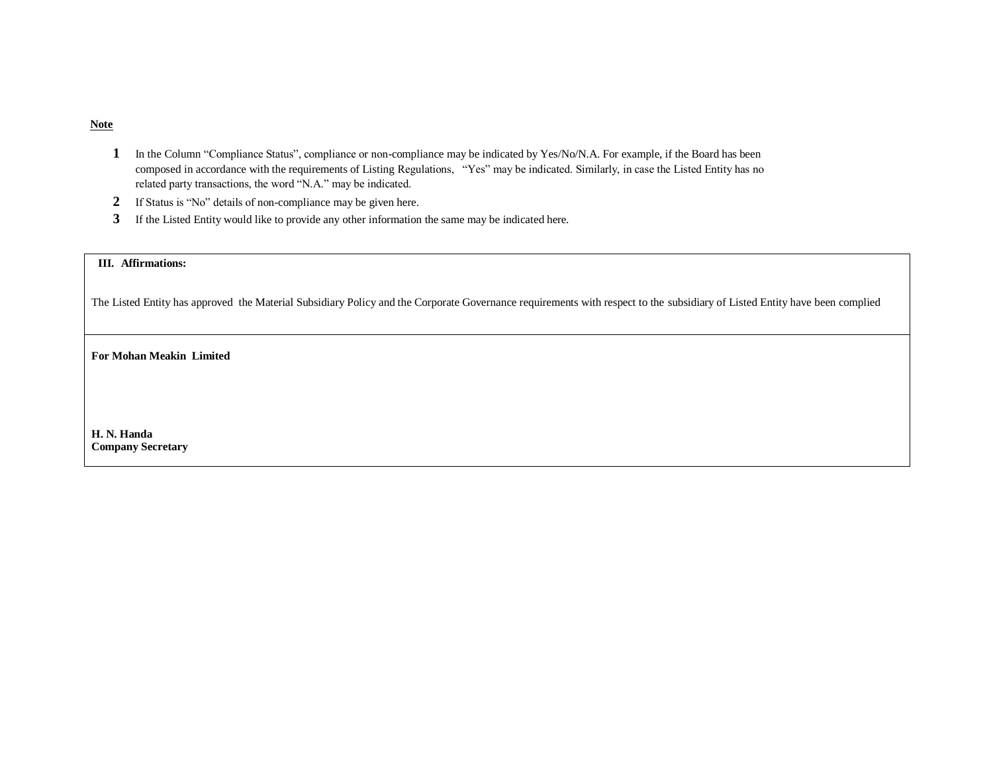# **Note**

- **1** In the Column "Compliance Status", compliance or non-compliance may be indicated by Yes/No/N.A. For example, if the Board has been composed in accordance with the requirements of Listing Regulations, "Yes" may be indicated. Similarly, in case the Listed Entity has no related party transactions, the word "N.A." may be indicated.
- **2** If Status is "No" details of non-compliance may be given here.
- **3** If the Listed Entity would like to provide any other information the same may be indicated here.

### **III. Affirmations:**

The Listed Entity has approved the Material Subsidiary Policy and the Corporate Governance requirements with respect to the subsidiary of Listed Entity have been complied

**For Mohan Meakin Limited**

**H. N. Handa Company Secretary**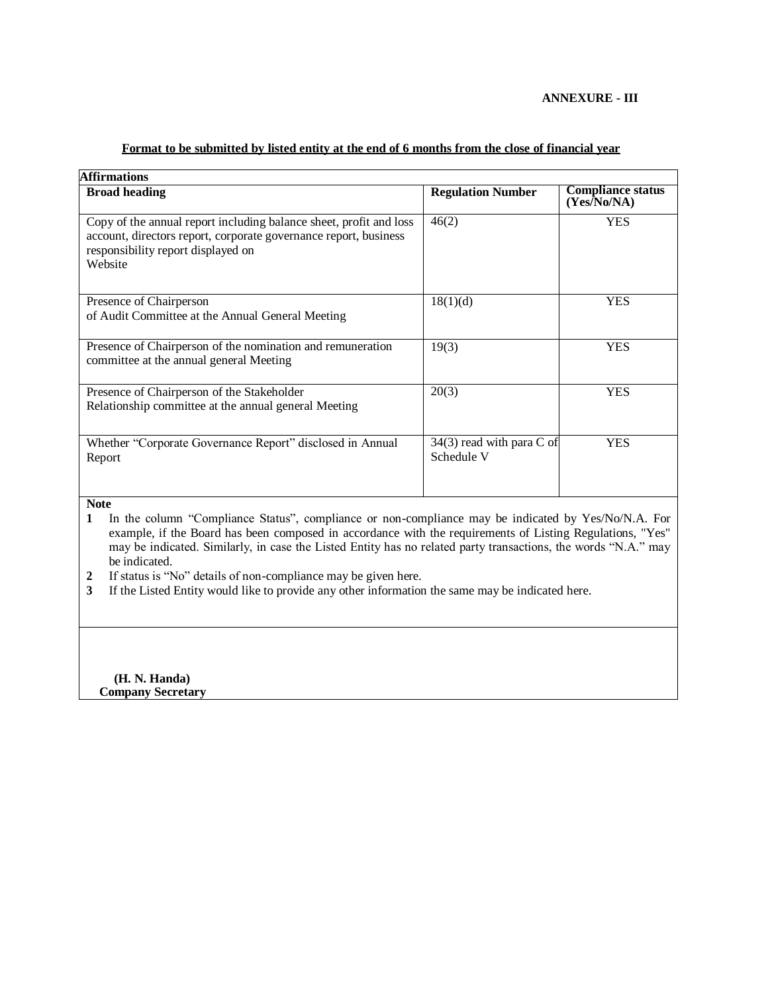# **ANNEXURE - III**

| <b>Affirmations</b>                                                                                                                                                                                                                                                                                                                                    |                                         |                                         |  |  |
|--------------------------------------------------------------------------------------------------------------------------------------------------------------------------------------------------------------------------------------------------------------------------------------------------------------------------------------------------------|-----------------------------------------|-----------------------------------------|--|--|
| <b>Broad heading</b>                                                                                                                                                                                                                                                                                                                                   | <b>Regulation Number</b>                | <b>Compliance status</b><br>(Yes/No/NA) |  |  |
| Copy of the annual report including balance sheet, profit and loss<br>account, directors report, corporate governance report, business<br>responsibility report displayed on<br>Website                                                                                                                                                                | 46(2)                                   | <b>YES</b>                              |  |  |
| Presence of Chairperson<br>of Audit Committee at the Annual General Meeting                                                                                                                                                                                                                                                                            | 18(1)(d)                                | <b>YES</b>                              |  |  |
| Presence of Chairperson of the nomination and remuneration<br>committee at the annual general Meeting                                                                                                                                                                                                                                                  | 19(3)                                   | <b>YES</b>                              |  |  |
| Presence of Chairperson of the Stakeholder<br>Relationship committee at the annual general Meeting                                                                                                                                                                                                                                                     | 20(3)                                   | <b>YES</b>                              |  |  |
| Whether "Corporate Governance Report" disclosed in Annual<br>Report                                                                                                                                                                                                                                                                                    | 34(3) read with para C of<br>Schedule V | <b>YES</b>                              |  |  |
| <b>Note</b><br>In the column "Compliance Status", compliance or non-compliance may be indicated by Yes/No/N.A. For<br>1<br>example, if the Board has been composed in accordance with the requirements of Listing Regulations, "Yes"<br>may be indicated. Similarly, in case the Listed Entity has no related party transactions, the words "N.A." may |                                         |                                         |  |  |

# **Format to be submitted by listed entity at the end of 6 months from the close of financial year**

be indicated. **2** If status is "No" details of non-compliance may be given here.

**3** If the Listed Entity would like to provide any other information the same may be indicated here.

 **(H. N. Handa) Company Secretary**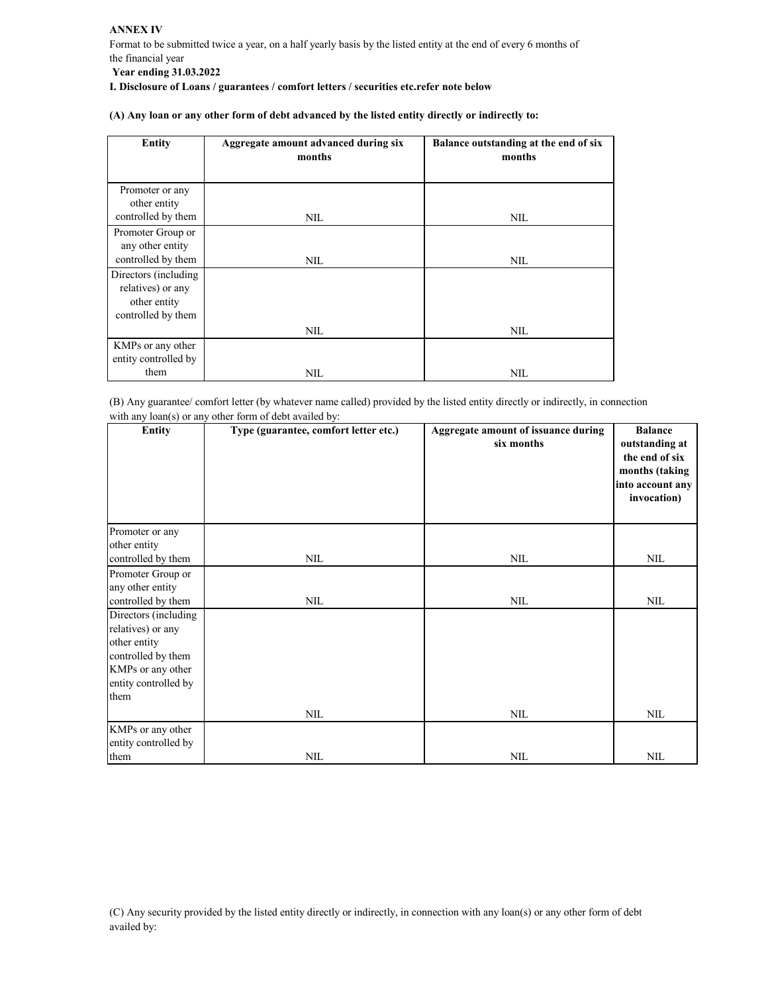| <b>Entity</b>                                               | Aggregate amount advanced during six<br>months | Balance outstanding at the end of six<br>months |
|-------------------------------------------------------------|------------------------------------------------|-------------------------------------------------|
|                                                             |                                                |                                                 |
| Promoter or any<br>other entity                             |                                                |                                                 |
| controlled by them                                          | NIL                                            | <b>NIL</b>                                      |
| Promoter Group or<br>any other entity<br>controlled by them |                                                |                                                 |
| Directors (including                                        | NIL.                                           | NIL.                                            |
| relatives) or any<br>other entity                           |                                                |                                                 |
| controlled by them                                          |                                                |                                                 |
|                                                             | NIL.                                           | NIL.                                            |
| KMPs or any other<br>entity controlled by                   |                                                |                                                 |
| them                                                        | NIL                                            | NIL                                             |

(B) Any guarantee/ comfort letter (by whatever name called) provided by the listed entity directly or indirectly, in connection with any loan(s) or any other form of debt availed by:

| <b>Entity</b>                      | Type (guarantee, comfort letter etc.) | Aggregate amount of issuance during<br>six months | <b>Balance</b><br>outstanding at<br>the end of six<br>months (taking<br>into account any<br>invocation) |
|------------------------------------|---------------------------------------|---------------------------------------------------|---------------------------------------------------------------------------------------------------------|
| Promoter or any                    |                                       |                                                   |                                                                                                         |
| other entity<br>controlled by them | NIL                                   | NIL                                               | <b>NIL</b>                                                                                              |
| Promoter Group or                  |                                       |                                                   |                                                                                                         |
| any other entity                   |                                       |                                                   |                                                                                                         |
| controlled by them                 | <b>NIL</b>                            | <b>NIL</b>                                        | <b>NIL</b>                                                                                              |
| Directors (including               |                                       |                                                   |                                                                                                         |
| relatives) or any                  |                                       |                                                   |                                                                                                         |
| other entity<br>controlled by them |                                       |                                                   |                                                                                                         |
| KMPs or any other                  |                                       |                                                   |                                                                                                         |
| entity controlled by               |                                       |                                                   |                                                                                                         |
| them                               |                                       |                                                   |                                                                                                         |
|                                    | NIL                                   | NIL                                               | <b>NIL</b>                                                                                              |
| KMPs or any other                  |                                       |                                                   |                                                                                                         |
| entity controlled by               |                                       |                                                   |                                                                                                         |
| them                               | NIL                                   | <b>NIL</b>                                        | <b>NIL</b>                                                                                              |